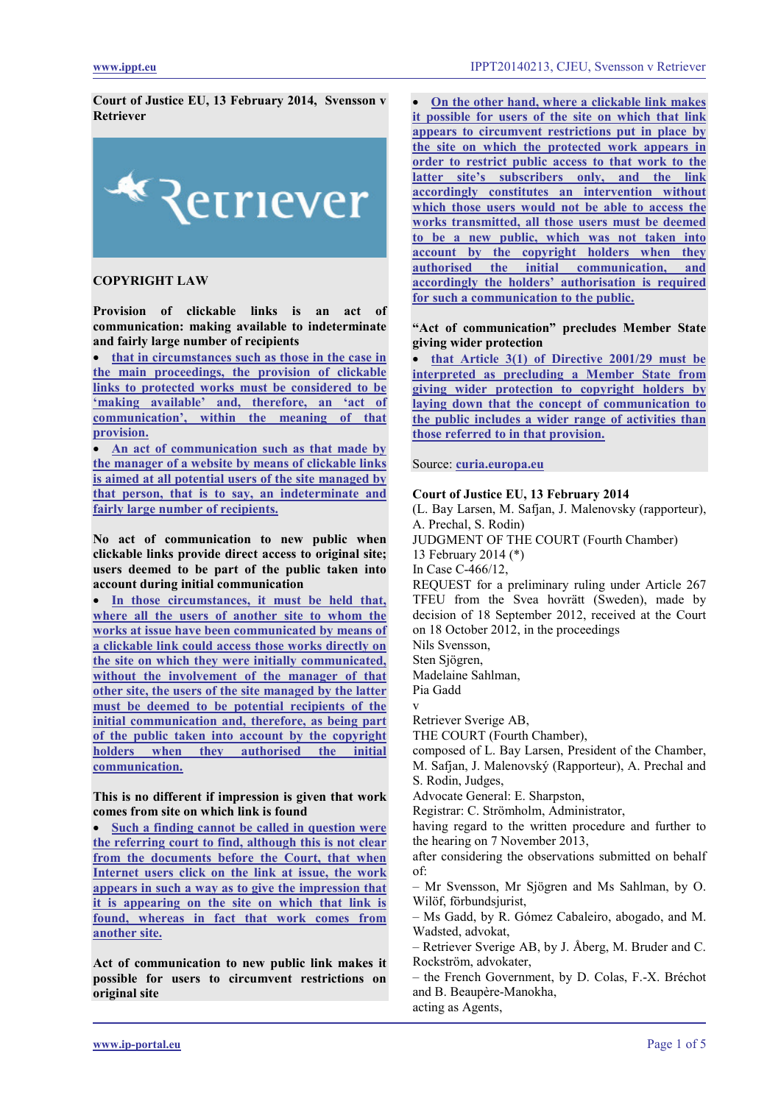**Court of Justice EU, 13 February 2014, Svensson v Retriever** 



# **COPYRIGHT LAW**

**Provision of clickable links is an act of communication: making available to indeterminate and fairly large number of recipients**

• **[that in circumstances such as those in the case in](#page-3-0)  [the main proceedings, the provision of clickable](#page-3-0)  [links to protected works must be](#page-3-0) considered to be ['making available' and, therefore, an 'act of](#page-3-0)  [communication', within the meaning of that](#page-3-0)  [provision.](#page-3-0)**

• **[An act of communication such as that made by](#page-3-1)  [the manager of a website by means of clickable links](#page-3-1)  [is aimed at all potential users of the site managed by](#page-3-1)  [that person, that is to say, an indeterminate and](#page-3-1)  [fairly large number of recipients.](#page-3-1)**

**No act of communication to new public when clickable links provide direct access to original site; users deemed to be part of the public taken into account during initial communication**

In those circumstances, it must be held that, **[where all the users of another site to whom the](#page-3-2)  [works at issue have been communicated by means of](#page-3-2)  [a clickable link could access those works directly on](#page-3-2)  [the site on which they were initially communicated,](#page-3-2)  [without the involvement of the manager of that](#page-3-2)  [other site, the users of the site managed by the latter](#page-3-2)  [must be deemed to be potential recipients of the](#page-3-2)  [initial communication and, therefore, as being part](#page-3-2)  [of the public taken into account by the copyright](#page-3-2)  [holders when they authorised the initial](#page-3-2)  [communication.](#page-3-2)**

**This is no different if impression is given that work comes from site on which link is found**

• **[Such a finding cannot be called in question were](#page-3-3)  [the referring court to find, although this is not clear](#page-3-3)  [from the documents before the Court, that when](#page-3-3)  [Internet users click on the link at issue, the work](#page-3-3)  [appears in such a way as to give the impression that](#page-3-3)  [it is appearing on the site on which that link is](#page-3-3)  [found, whereas in fact that work comes from](#page-3-3)  [another site.](#page-3-3)**

**Act of communication to new public link makes it possible for users to circumvent restrictions on original site** 

• **[On the other hand, where a clickable link makes](#page-3-4)  [it possible for users of the site on which that link](#page-3-4)  [appears to circumvent restrictions put in place by](#page-3-4)  [the site on which the protected work appears in](#page-3-4)  [order to restrict public access to that work to the](#page-3-4)  [latter site's subscribers only, and the link](#page-3-4)  [accordingly constitutes an intervention without](#page-3-4)  [which those users would not be able to access the](#page-3-4)  [works transmitted, all those users must be deemed](#page-3-4)  [to be a new public, which was not taken into](#page-3-4)  [account by the copyright holders when they](#page-3-4)  [authorised the initial communication, and](#page-3-4)  [accordingly the holders' authorisation is required](#page-3-4)  [for such a communication to the public.](#page-3-4)**

### **"Act of communication" precludes Member State giving wider protection**

• **[that Article 3\(1\) of Directive 2001/29 must be](#page-4-0)  [interpreted as precluding a Member State from](#page-4-0)  [giving wider protection to copyright holders by](#page-4-0)  [laying down that the concept of communication to](#page-4-0)  [the public includes a wider range of activities than](#page-4-0)  [those referred to in](#page-4-0) that provision.**

Source: **[curia.europa.eu](http://curia.europa.eu/juris/liste.jsf?language=en&td=ALL&num=C-466/12)**

# **Court of Justice EU, 13 February 2014**

(L. Bay Larsen, M. Safjan, J. Malenovsky (rapporteur), A. Prechal, S. Rodin) JUDGMENT OF THE COURT (Fourth Chamber) 13 February 2014 (\*) In Case C-466/12, REQUEST for a preliminary ruling under Article 267 TFEU from the Svea hovrätt (Sweden), made by decision of 18 September 2012, received at the Court on 18 October 2012, in the proceedings Nils Svensson, Sten Sjögren, Madelaine Sahlman, Pia Gadd v Retriever Sverige AB, THE COURT (Fourth Chamber), composed of L. Bay Larsen, President of the Chamber, M. Safjan, J. Malenovský (Rapporteur), A. Prechal and S. Rodin, Judges,

Advocate General: E. Sharpston,

Registrar: C. Strömholm, Administrator,

having regard to the written procedure and further to the hearing on 7 November 2013,

after considering the observations submitted on behalf of:

– Mr Svensson, Mr Sjögren and Ms Sahlman, by O. Wilöf, förbundsjurist,

– Ms Gadd, by R. Gómez Cabaleiro, abogado, and M. Wadsted, advokat,

– Retriever Sverige AB, by J. Åberg, M. Bruder and C. Rockström, advokater,

– the French Government, by D. Colas, F.-X. Bréchot and B. Beaupère-Manokha,

acting as Agents,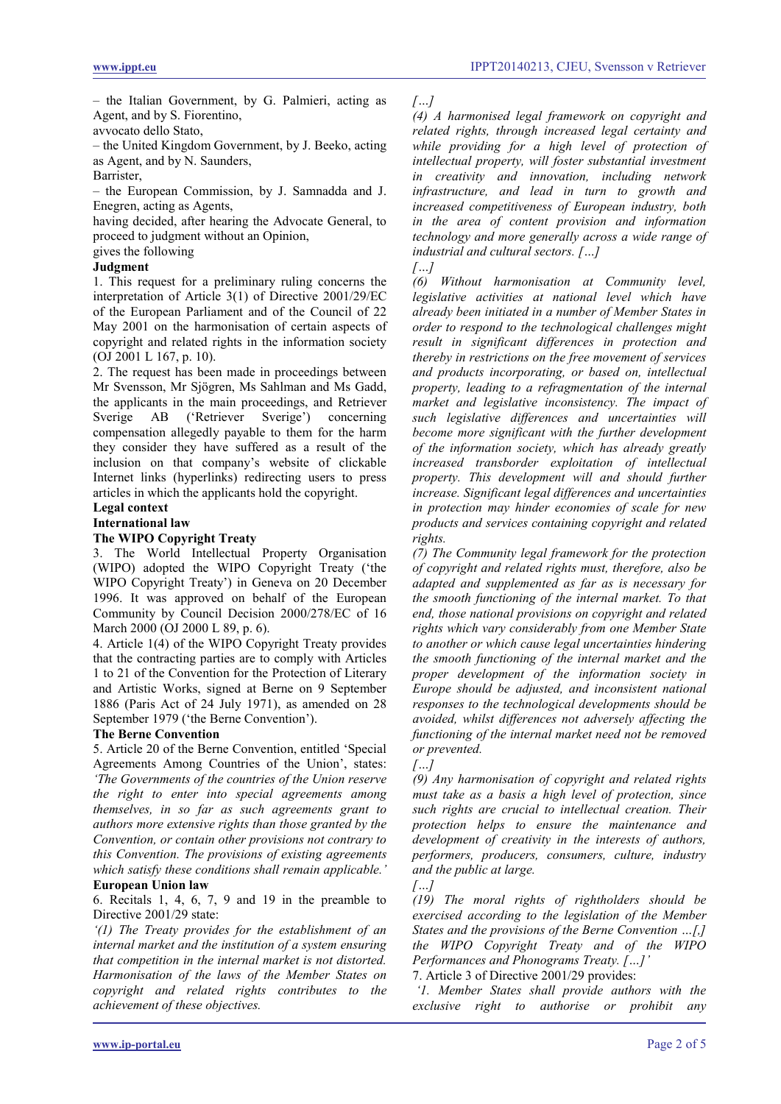– the Italian Government, by G. Palmieri, acting as Agent, and by S. Fiorentino,

avvocato dello Stato,

– the United Kingdom Government, by J. Beeko, acting as Agent, and by N. Saunders, Barrister,

– the European Commission, by J. Samnadda and J. Enegren, acting as Agents,

having decided, after hearing the Advocate General, to proceed to judgment without an Opinion,

gives the following

# **Judgment**

1. This request for a preliminary ruling concerns the interpretation of Article 3(1) of Directive 2001/29/EC of the European Parliament and of the Council of 22 May 2001 on the harmonisation of certain aspects of copyright and related rights in the information society (OJ 2001 L 167, p. 10).

2. The request has been made in proceedings between Mr Svensson, Mr Sjögren, Ms Sahlman and Ms Gadd, the applicants in the main proceedings, and Retriever Sverige AB ('Retriever Sverige') concerning compensation allegedly payable to them for the harm they consider they have suffered as a result of the inclusion on that company's website of clickable Internet links (hyperlinks) redirecting users to press articles in which the applicants hold the copyright.

# **Legal context**

### **International law**

# **The WIPO Copyright Treaty**

3. The World Intellectual Property Organisation (WIPO) adopted the WIPO Copyright Treaty ('the WIPO Copyright Treaty') in Geneva on 20 December 1996. It was approved on behalf of the European Community by Council Decision 2000/278/EC of 16 March 2000 (OJ 2000 L 89, p. 6).

4. Article 1(4) of the WIPO Copyright Treaty provides that the contracting parties are to comply with Articles 1 to 21 of the Convention for the Protection of Literary and Artistic Works, signed at Berne on 9 September 1886 (Paris Act of 24 July 1971), as amended on 28 September 1979 ('the Berne Convention').

### **The Berne Convention**

5. Article 20 of the Berne Convention, entitled 'Special Agreements Among Countries of the Union', states: *'The Governments of the countries of the Union reserve the right to enter into special agreements among themselves, in so far as such agreements grant to authors more extensive rights than those granted by the Convention, or contain other provisions not contrary to this Convention. The provisions of existing agreements which satisfy these conditions shall remain applicable.'* **European Union law**

6. Recitals 1, 4, 6, 7, 9 and 19 in the preamble to Directive 2001/29 state:

*'(1) The Treaty provides for the establishment of an internal market and the institution of a system ensuring that competition in the internal market is not distorted. Harmonisation of the laws of the Member States on copyright and related rights contributes to the achievement of these objectives.*

*[…]*

*(4) A harmonised legal framework on copyright and related rights, through increased legal certainty and while providing for a high level of protection of intellectual property, will foster substantial investment in creativity and innovation, including network infrastructure, and lead in turn to growth and increased competitiveness of European industry, both in the area of content provision and information technology and more generally across a wide range of industrial and cultural sectors. […]*



*(6) Without harmonisation at Community level, legislative activities at national level which have already been initiated in a number of Member States in order to respond to the technological challenges might result in significant differences in protection and thereby in restrictions on the free movement of services and products incorporating, or based on, intellectual property, leading to a refragmentation of the internal market and legislative inconsistency. The impact of such legislative differences and uncertainties will become more significant with the further development of the information society, which has already greatly increased transborder exploitation of intellectual property. This development will and should further increase. Significant legal differences and uncertainties in protection may hinder economies of scale for new products and services containing copyright and related rights.*

*(7) The Community legal framework for the protection of copyright and related rights must, therefore, also be adapted and supplemented as far as is necessary for the smooth functioning of the internal market. To that end, those national provisions on copyright and related rights which vary considerably from one Member State to another or which cause legal uncertainties hindering the smooth functioning of the internal market and the proper development of the information society in Europe should be adjusted, and inconsistent national responses to the technological developments should be avoided, whilst differences not adversely affecting the functioning of the internal market need not be removed or prevented.*

*[…]*

*(9) Any harmonisation of copyright and related rights must take as a basis a high level of protection, since such rights are crucial to intellectual creation. Their protection helps to ensure the maintenance and development of creativity in the interests of authors, performers, producers, consumers, culture, industry and the public at large.* 

*[…]*

*(19) The moral rights of rightholders should be exercised according to the legislation of the Member States and the provisions of the Berne Convention …[,] the WIPO Copyright Treaty and of the WIPO Performances and Phonograms Treaty. […]'*

7. Article 3 of Directive 2001/29 provides:

*'1. Member States shall provide authors with the exclusive right to authorise or prohibit any*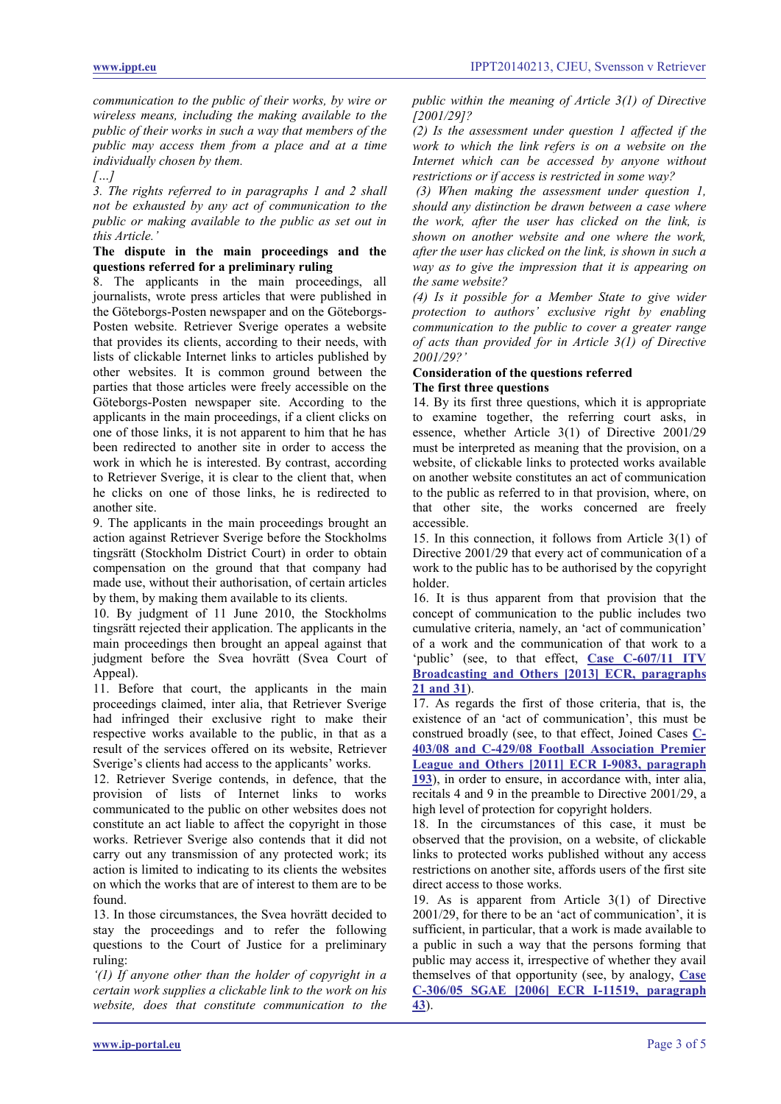*communication to the public of their works, by wire or wireless means, including the making available to the public of their works in such a way that members of the public may access them from a place and at a time individually chosen by them.*

*[…]*

*3. The rights referred to in paragraphs 1 and 2 shall not be exhausted by any act of communication to the public or making available to the public as set out in this Article.'*

# **The dispute in the main proceedings and the questions referred for a preliminary ruling**

8. The applicants in the main proceedings, all journalists, wrote press articles that were published in the Göteborgs-Posten newspaper and on the Göteborgs-Posten website. Retriever Sverige operates a website that provides its clients, according to their needs, with lists of clickable Internet links to articles published by other websites. It is common ground between the parties that those articles were freely accessible on the Göteborgs-Posten newspaper site. According to the applicants in the main proceedings, if a client clicks on one of those links, it is not apparent to him that he has been redirected to another site in order to access the work in which he is interested. By contrast, according to Retriever Sverige, it is clear to the client that, when he clicks on one of those links, he is redirected to another site.

9. The applicants in the main proceedings brought an action against Retriever Sverige before the Stockholms tingsrätt (Stockholm District Court) in order to obtain compensation on the ground that that company had made use, without their authorisation, of certain articles by them, by making them available to its clients.

10. By judgment of 11 June 2010, the Stockholms tingsrätt rejected their application. The applicants in the main proceedings then brought an appeal against that judgment before the Svea hovrätt (Svea Court of Appeal).

11. Before that court, the applicants in the main proceedings claimed, inter alia, that Retriever Sverige had infringed their exclusive right to make their respective works available to the public, in that as a result of the services offered on its website, Retriever Sverige's clients had access to the applicants' works.

12. Retriever Sverige contends, in defence, that the provision of lists of Internet links to works communicated to the public on other websites does not constitute an act liable to affect the copyright in those works. Retriever Sverige also contends that it did not carry out any transmission of any protected work; its action is limited to indicating to its clients the websites on which the works that are of interest to them are to be found.

13. In those circumstances, the Svea hovrätt decided to stay the proceedings and to refer the following questions to the Court of Justice for a preliminary ruling:

*'(1) If anyone other than the holder of copyright in a certain work supplies a clickable link to the work on his website, does that constitute communication to the*  *public within the meaning of Article 3(1) of Directive [2001/29]?*

*(2) Is the assessment under question 1 affected if the work to which the link refers is on a website on the Internet which can be accessed by anyone without restrictions or if access is restricted in some way?*

*(3) When making the assessment under question 1, should any distinction be drawn between a case where the work, after the user has clicked on the link, is shown on another website and one where the work, after the user has clicked on the link, is shown in such a way as to give the impression that it is appearing on the same website?*

*(4) Is it possible for a Member State to give wider protection to authors' exclusive right by enabling communication to the public to cover a greater range of acts than provided for in Article 3(1) of Directive 2001/29?'*

# **Consideration of the questions referred The first three questions**

14. By its first three questions, which it is appropriate to examine together, the referring court asks, in essence, whether Article 3(1) of Directive 2001/29 must be interpreted as meaning that the provision, on a website, of clickable links to protected works available on another website constitutes an act of communication to the public as referred to in that provision, where, on that other site, the works concerned are freely accessible.

15. In this connection, it follows from Article 3(1) of Directive 2001/29 that every act of communication of a work to the public has to be authorised by the copyright holder.

16. It is thus apparent from that provision that the concept of communication to the public includes two cumulative criteria, namely, an 'act of communication' of a work and the communication of that work to a 'public' (see, to that effect, **[Case C-607/11 ITV](http://www.boek9.nl/files/2013/IEPT20130307_HvJEU_ITV_v_TVCatchup.pdf) [Broadcasting and Others \[2013\] ECR, paragraphs](http://www.boek9.nl/files/2013/IEPT20130307_HvJEU_ITV_v_TVCatchup.pdf)  [21 and 31](http://www.boek9.nl/files/2013/IEPT20130307_HvJEU_ITV_v_TVCatchup.pdf)**).

17. As regards the first of those criteria, that is, the existence of an 'act of communication', this must be construed broadly (see, to that effect, Joined Cases **[C-](http://www.boek9.nl/files/2011/IEPT20111004_HvJEU_Premier_League.pdf)403/08 and C-429/08 [Football Association Premier](http://www.boek9.nl/files/2011/IEPT20111004_HvJEU_Premier_League.pdf)  [League and Others \[2011\] ECR I-9083, paragraph](http://www.boek9.nl/files/2011/IEPT20111004_HvJEU_Premier_League.pdf)  [193](http://www.boek9.nl/files/2011/IEPT20111004_HvJEU_Premier_League.pdf)**), in order to ensure, in accordance with, inter alia, recitals 4 and 9 in the preamble to Directive 2001/29, a high level of protection for copyright holders.

18. In the circumstances of this case, it must be observed that the provision, on a website, of clickable links to protected works published without any access restrictions on another site, affords users of the first site direct access to those works.

19. As is apparent from Article 3(1) of Directive 2001/29, for there to be an 'act of communication', it is sufficient, in particular, that a work is made available to a public in such a way that the persons forming that public may access it, irrespective of whether they avail themselves of that opportunity (see, by analogy, **[Case](http://www.boek9.nl/files/2006/IEPT20061207_HvJEG_SGAE_v_Rafael_Hoteles_-_hotelkamer.pdf)  [C-306/05 SGAE \[2006\] ECR](http://www.boek9.nl/files/2006/IEPT20061207_HvJEG_SGAE_v_Rafael_Hoteles_-_hotelkamer.pdf) I-11519, paragraph [43](http://www.boek9.nl/files/2006/IEPT20061207_HvJEG_SGAE_v_Rafael_Hoteles_-_hotelkamer.pdf)**).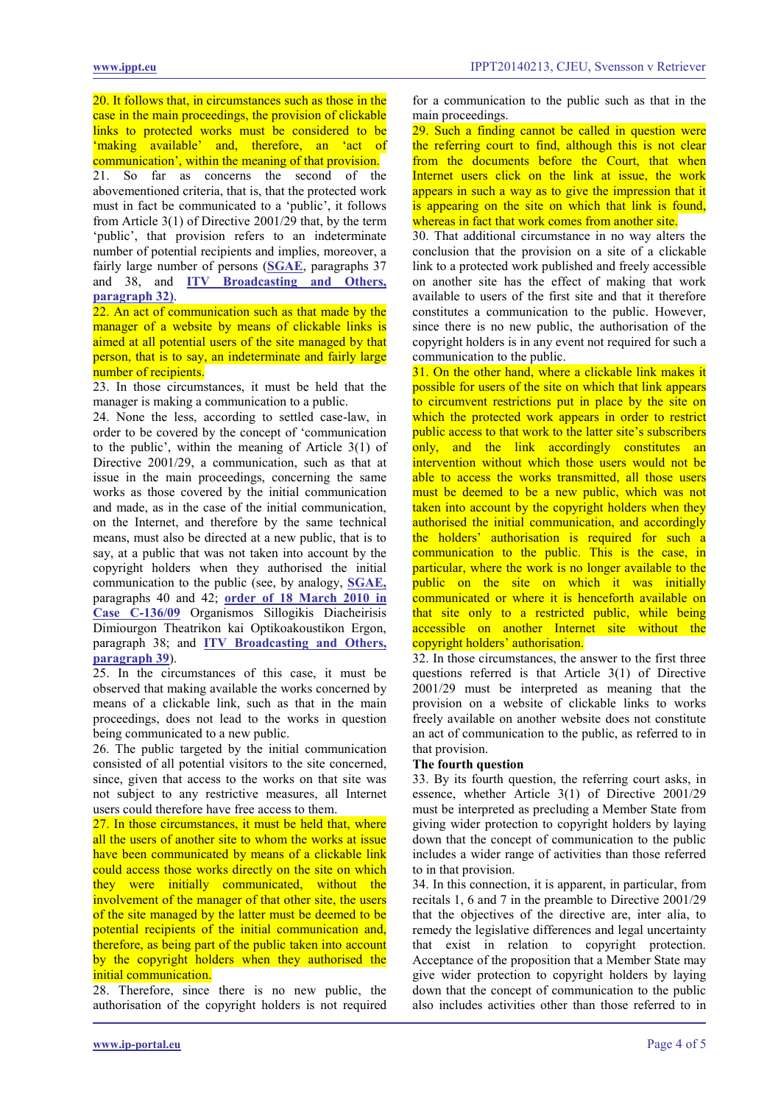<span id="page-3-0"></span>20. It follows that, in circumstances such as those in the case in the main proceedings, the provision of clickable links to protected works must be considered to be 'making available' and, therefore, an 'act of communication', within the meaning of that provision. 21. So far as concerns the second of the abovementioned criteria, that is, that the protected work must in fact be communicated to a 'public', it follows from Article 3(1) of Directive 2001/29 that, by the term 'public', that provision refers to an indeterminate number of potential recipients and implies, moreover, a fairly large number of persons (**[SGAE](http://www.boek9.nl/files/2006/IEPT20061207_HvJEG_SGAE_v_Rafael_Hoteles_-_hotelkamer.pdf)**, paragraphs 37 and 38, and **[ITV Broadcasting and Others,](http://www.boek9.nl/files/2013/IEPT20130307_HvJEU_ITV_v_TVCatchup.pdf)  [paragraph 32\)](http://www.boek9.nl/files/2013/IEPT20130307_HvJEU_ITV_v_TVCatchup.pdf)**.

<span id="page-3-1"></span>22. An act of communication such as that made by the manager of a website by means of clickable links is aimed at all potential users of the site managed by that person, that is to say, an indeterminate and fairly large number of recipients.

23. In those circumstances, it must be held that the manager is making a communication to a public.

24. None the less, according to settled case-law, in order to be covered by the concept of 'communication to the public', within the meaning of Article 3(1) of Directive 2001/29, a communication, such as that at issue in the main proceedings, concerning the same works as those covered by the initial communication and made, as in the case of the initial communication, on the Internet, and therefore by the same technical means, must also be directed at a new public, that is to say, at a public that was not taken into account by the copyright holders when they authorised the initial communication to the public (see, by analogy, **[SGAE,](http://www.boek9.nl/files/2006/IEPT20061207_HvJEG_SGAE_v_Rafael_Hoteles_-_hotelkamer.pdf)** paragraphs 40 and 42; **[order of 18 March 2010 in](http://www.boek9.nl/files/2010/IEPT20100318_HvJEU_Hotelhouder.pdf)  [Case C-136/09](http://www.boek9.nl/files/2010/IEPT20100318_HvJEU_Hotelhouder.pdf)** Organismos Sillogikis Diacheirisis Dimiourgon Theatrikon kai Optikoakoustikon Ergon, paragraph 38; and **[ITV Broadcasting and Others,](http://www.boek9.nl/files/2013/IEPT20130307_HvJEU_ITV_v_TVCatchup.pdf)  [paragraph 39](http://www.boek9.nl/files/2013/IEPT20130307_HvJEU_ITV_v_TVCatchup.pdf)**).

25. In the circumstances of this case, it must be observed that making available the works concerned by means of a clickable link, such as that in the main proceedings, does not lead to the works in question being communicated to a new public.

26. The public targeted by the initial communication consisted of all potential visitors to the site concerned, since, given that access to the works on that site was not subject to any restrictive measures, all Internet users could therefore have free access to them.

<span id="page-3-2"></span>27. In those circumstances, it must be held that, where all the users of another site to whom the works at issue have been communicated by means of a clickable link could access those works directly on the site on which they were initially communicated, without the involvement of the manager of that other site, the users of the site managed by the latter must be deemed to be potential recipients of the initial communication and, therefore, as being part of the public taken into account by the copyright holders when they authorised the initial communication.

28. Therefore, since there is no new public, the authorisation of the copyright holders is not required for a communication to the public such as that in the main proceedings.

<span id="page-3-3"></span>29. Such a finding cannot be called in question were the referring court to find, although this is not clear from the documents before the Court, that when Internet users click on the link at issue, the work appears in such a way as to give the impression that it is appearing on the site on which that link is found, whereas in fact that work comes from another site.

30. That additional circumstance in no way alters the conclusion that the provision on a site of a clickable link to a protected work published and freely accessible on another site has the effect of making that work available to users of the first site and that it therefore constitutes a communication to the public. However, since there is no new public, the authorisation of the copyright holders is in any event not required for such a communication to the public.

<span id="page-3-4"></span>31. On the other hand, where a clickable link makes it possible for users of the site on which that link appears to circumvent restrictions put in place by the site on which the protected work appears in order to restrict public access to that work to the latter site's subscribers only, and the link accordingly constitutes an intervention without which those users would not be able to access the works transmitted, all those users must be deemed to be a new public, which was not taken into account by the copyright holders when they authorised the initial communication, and accordingly the holders' authorisation is required for such a communication to the public. This is the case, in particular, where the work is no longer available to the public on the site on which it was initially communicated or where it is henceforth available on that site only to a restricted public, while being accessible on another Internet site without the copyright holders' authorisation.

32. In those circumstances, the answer to the first three questions referred is that Article 3(1) of Directive 2001/29 must be interpreted as meaning that the provision on a website of clickable links to works freely available on another website does not constitute an act of communication to the public, as referred to in that provision.

### **The fourth question**

33. By its fourth question, the referring court asks, in essence, whether Article 3(1) of Directive 2001/29 must be interpreted as precluding a Member State from giving wider protection to copyright holders by laying down that the concept of communication to the public includes a wider range of activities than those referred to in that provision.

34. In this connection, it is apparent, in particular, from recitals 1, 6 and 7 in the preamble to Directive 2001/29 that the objectives of the directive are, inter alia, to remedy the legislative differences and legal uncertainty that exist in relation to copyright protection. Acceptance of the proposition that a Member State may give wider protection to copyright holders by laying down that the concept of communication to the public also includes activities other than those referred to in